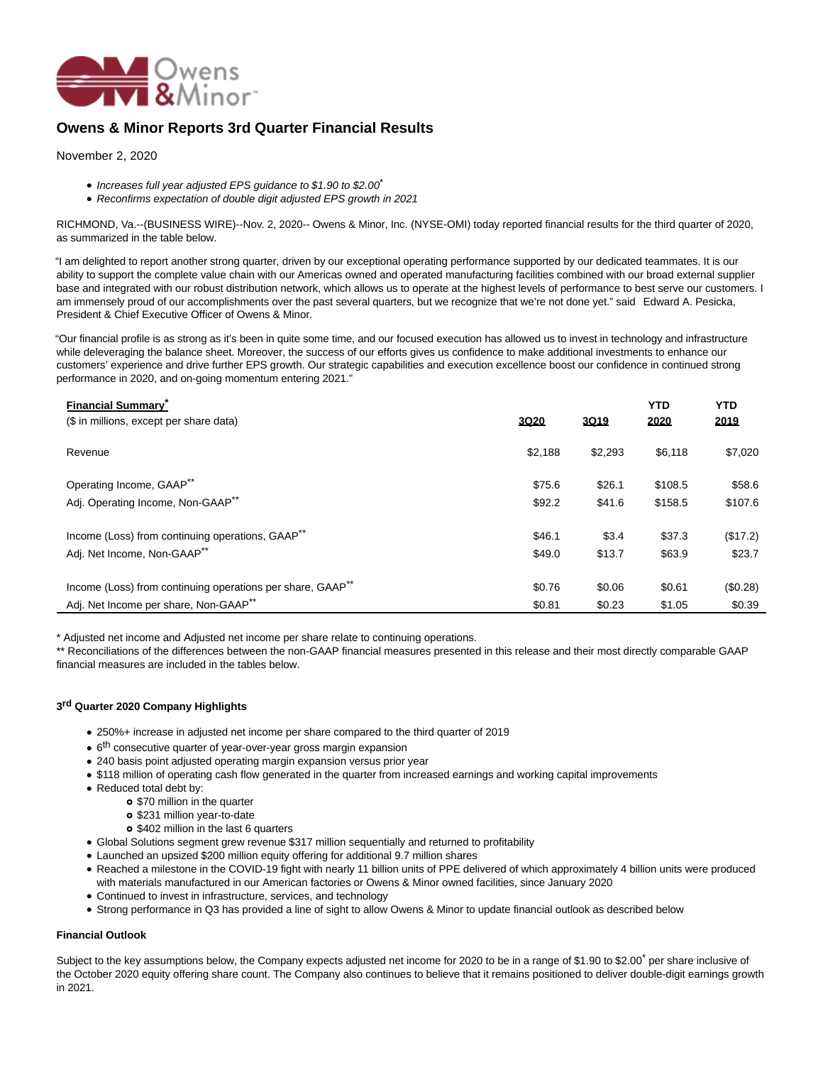

# **Owens & Minor Reports 3rd Quarter Financial Results**

November 2, 2020

- $\bullet$  Increases full year adjusted EPS quidance to \$1.90 to \$2.00<sup>\*</sup>
- Reconfirms expectation of double digit adjusted EPS growth in 2021

RICHMOND, Va.--(BUSINESS WIRE)--Nov. 2, 2020-- Owens & Minor, Inc. (NYSE-OMI) today reported financial results for the third quarter of 2020, as summarized in the table below.

"I am delighted to report another strong quarter, driven by our exceptional operating performance supported by our dedicated teammates. It is our ability to support the complete value chain with our Americas owned and operated manufacturing facilities combined with our broad external supplier base and integrated with our robust distribution network, which allows us to operate at the highest levels of performance to best serve our customers. I am immensely proud of our accomplishments over the past several quarters, but we recognize that we're not done yet." said Edward A. Pesicka, President & Chief Executive Officer of Owens & Minor.

"Our financial profile is as strong as it's been in quite some time, and our focused execution has allowed us to invest in technology and infrastructure while deleveraging the balance sheet. Moreover, the success of our efforts gives us confidence to make additional investments to enhance our customers' experience and drive further EPS growth. Our strategic capabilities and execution excellence boost our confidence in continued strong performance in 2020, and on-going momentum entering 2021."

| <b>Financial Summary</b><br>(\$ in millions, except per share data)    | <b>3Q20</b> | 3Q19    | <b>YTD</b><br>2020 | <b>YTD</b><br>2019 |
|------------------------------------------------------------------------|-------------|---------|--------------------|--------------------|
| Revenue                                                                | \$2,188     | \$2,293 | \$6,118            | \$7,020            |
| Operating Income, GAAP**                                               | \$75.6      | \$26.1  | \$108.5            | \$58.6             |
| Adj. Operating Income, Non-GAAP <sup>**</sup>                          | \$92.2      | \$41.6  | \$158.5            | \$107.6            |
| Income (Loss) from continuing operations, GAAP <sup>**</sup>           | \$46.1      | \$3.4   | \$37.3             | (\$17.2)           |
| Adj. Net Income, Non-GAAP**                                            | \$49.0      | \$13.7  | \$63.9             | \$23.7             |
| Income (Loss) from continuing operations per share, GAAP <sup>**</sup> | \$0.76      | \$0.06  | \$0.61             | (\$0.28)           |
| Adj. Net Income per share, Non-GAAP <sup>**</sup>                      | \$0.81      | \$0.23  | \$1.05             | \$0.39             |

\* Adjusted net income and Adjusted net income per share relate to continuing operations.

\*\* Reconciliations of the differences between the non-GAAP financial measures presented in this release and their most directly comparable GAAP financial measures are included in the tables below.

## **3 rd Quarter 2020 Company Highlights**

- 250%+ increase in adjusted net income per share compared to the third quarter of 2019
- 6<sup>th</sup> consecutive quarter of year-over-year gross margin expansion
- 240 basis point adjusted operating margin expansion versus prior year
- \$118 million of operating cash flow generated in the quarter from increased earnings and working capital improvements
- Reduced total debt by:
	- **o** \$70 million in the quarter
	- o \$231 million year-to-date
	- o \$402 million in the last 6 quarters
- Global Solutions segment grew revenue \$317 million sequentially and returned to profitability
- Launched an upsized \$200 million equity offering for additional 9.7 million shares
- Reached a milestone in the COVID-19 fight with nearly 11 billion units of PPE delivered of which approximately 4 billion units were produced with materials manufactured in our American factories or Owens & Minor owned facilities, since January 2020
- Continued to invest in infrastructure, services, and technology
- Strong performance in Q3 has provided a line of sight to allow Owens & Minor to update financial outlook as described below

## **Financial Outlook**

Subject to the key assumptions below, the Company expects adjusted net income for 2020 to be in a range of \$1.90 to \$2.00<sup>\*</sup> per share inclusive of the October 2020 equity offering share count. The Company also continues to believe that it remains positioned to deliver double-digit earnings growth in 2021.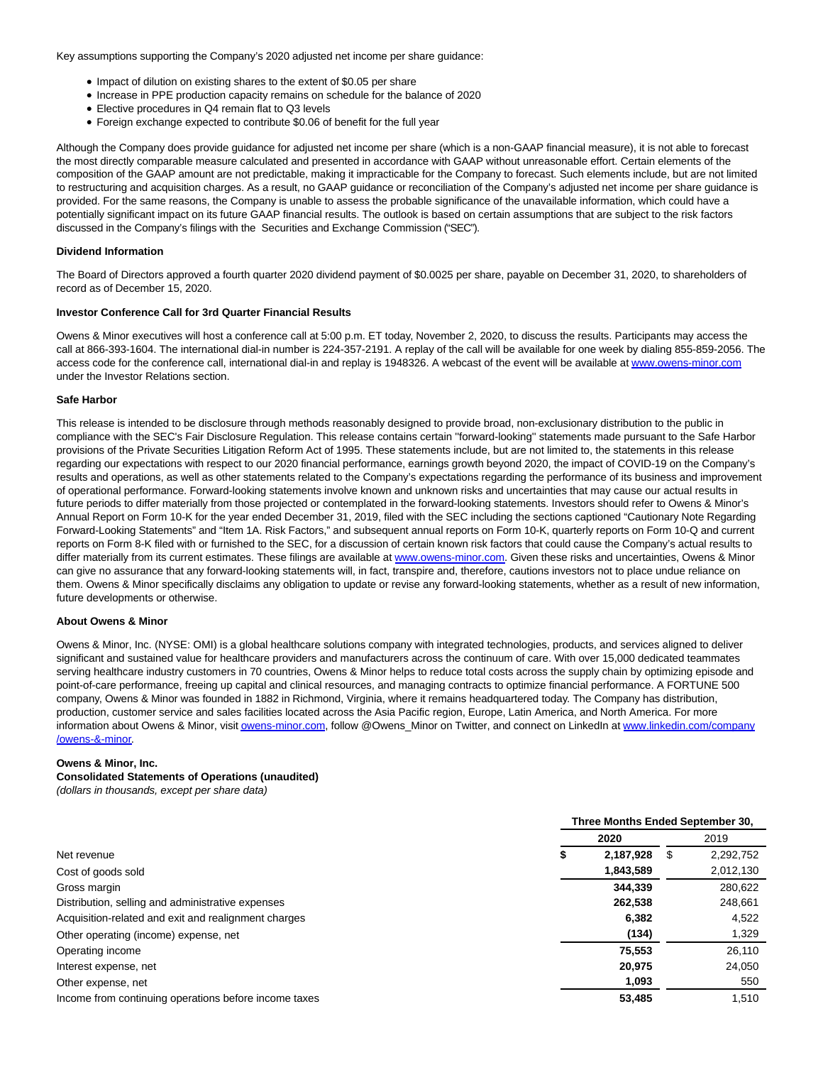Key assumptions supporting the Company's 2020 adjusted net income per share guidance:

- Impact of dilution on existing shares to the extent of \$0.05 per share
- Increase in PPE production capacity remains on schedule for the balance of 2020
- Elective procedures in Q4 remain flat to Q3 levels
- Foreign exchange expected to contribute \$0.06 of benefit for the full year

Although the Company does provide guidance for adjusted net income per share (which is a non-GAAP financial measure), it is not able to forecast the most directly comparable measure calculated and presented in accordance with GAAP without unreasonable effort. Certain elements of the composition of the GAAP amount are not predictable, making it impracticable for the Company to forecast. Such elements include, but are not limited to restructuring and acquisition charges. As a result, no GAAP guidance or reconciliation of the Company's adjusted net income per share guidance is provided. For the same reasons, the Company is unable to assess the probable significance of the unavailable information, which could have a potentially significant impact on its future GAAP financial results. The outlook is based on certain assumptions that are subject to the risk factors discussed in the Company's filings with the Securities and Exchange Commission ("SEC").

#### **Dividend Information**

The Board of Directors approved a fourth quarter 2020 dividend payment of \$0.0025 per share, payable on December 31, 2020, to shareholders of record as of December 15, 2020.

#### **Investor Conference Call for 3rd Quarter Financial Results**

Owens & Minor executives will host a conference call at 5:00 p.m. ET today, November 2, 2020, to discuss the results. Participants may access the call at 866-393-1604. The international dial-in number is 224-357-2191. A replay of the call will be available for one week by dialing 855-859-2056. The access code for the conference call, international dial-in and replay is 1948326. A webcast of the event will be available a[t www.owens-minor.com](https://cts.businesswire.com/ct/CT?id=smartlink&url=http%3A%2F%2Fwww.owens-minor.com&esheet=52318818&newsitemid=20201102005952&lan=en-US&anchor=www.owens-minor.com&index=1&md5=25596b534a9a4b6ad128a8cbbf793573) under the Investor Relations section.

#### **Safe Harbor**

This release is intended to be disclosure through methods reasonably designed to provide broad, non-exclusionary distribution to the public in compliance with the SEC's Fair Disclosure Regulation. This release contains certain ''forward-looking'' statements made pursuant to the Safe Harbor provisions of the Private Securities Litigation Reform Act of 1995. These statements include, but are not limited to, the statements in this release regarding our expectations with respect to our 2020 financial performance, earnings growth beyond 2020, the impact of COVID-19 on the Company's results and operations, as well as other statements related to the Company's expectations regarding the performance of its business and improvement of operational performance. Forward-looking statements involve known and unknown risks and uncertainties that may cause our actual results in future periods to differ materially from those projected or contemplated in the forward-looking statements. Investors should refer to Owens & Minor's Annual Report on Form 10-K for the year ended December 31, 2019, filed with the SEC including the sections captioned "Cautionary Note Regarding Forward-Looking Statements" and "Item 1A. Risk Factors," and subsequent annual reports on Form 10-K, quarterly reports on Form 10-Q and current reports on Form 8-K filed with or furnished to the SEC, for a discussion of certain known risk factors that could cause the Company's actual results to differ materially from its current estimates. These filings are available at [www.owens-minor.com.](https://cts.businesswire.com/ct/CT?id=smartlink&url=http%3A%2F%2Fwww.owens-minor.com&esheet=52318818&newsitemid=20201102005952&lan=en-US&anchor=www.owens-minor.com&index=2&md5=716cf8f6297a76a38afec53b81ac50ae) Given these risks and uncertainties, Owens & Minor can give no assurance that any forward-looking statements will, in fact, transpire and, therefore, cautions investors not to place undue reliance on them. Owens & Minor specifically disclaims any obligation to update or revise any forward-looking statements, whether as a result of new information, future developments or otherwise.

#### **About Owens & Minor**

Owens & Minor, Inc. (NYSE: OMI) is a global healthcare solutions company with integrated technologies, products, and services aligned to deliver significant and sustained value for healthcare providers and manufacturers across the continuum of care. With over 15,000 dedicated teammates serving healthcare industry customers in 70 countries, Owens & Minor helps to reduce total costs across the supply chain by optimizing episode and point-of-care performance, freeing up capital and clinical resources, and managing contracts to optimize financial performance. A FORTUNE 500 company, Owens & Minor was founded in 1882 in Richmond, Virginia, where it remains headquartered today. The Company has distribution, production, customer service and sales facilities located across the Asia Pacific region, Europe, Latin America, and North America. For more information about Owens & Minor, visi[t owens-minor.com,](http://owens-minor.com/) follow @Owens\_Minor on Twitter, and connect on LinkedIn at [www.linkedin.com/company](https://cts.businesswire.com/ct/CT?id=smartlink&url=http%3A%2F%2Fwww.linkedin.com%2Fcompany%2Fowens-%26-minor&esheet=52318818&newsitemid=20201102005952&lan=en-US&anchor=www.linkedin.com%2Fcompany%2Fowens-%26amp%3B-minor&index=3&md5=a5b6542f8024658373aac29355b0536c) /owens-&-minor.

#### **Owens & Minor, Inc.**

# **Consolidated Statements of Operations (unaudited)**

(dollars in thousands, except per share data)

|                                                       | Three Months Ended September 30, |           |    |           |  |  |
|-------------------------------------------------------|----------------------------------|-----------|----|-----------|--|--|
|                                                       | 2020                             |           |    | 2019      |  |  |
| Net revenue                                           | D                                | 2,187,928 | S. | 2,292,752 |  |  |
| Cost of goods sold                                    |                                  | 1,843,589 |    | 2,012,130 |  |  |
| Gross margin                                          |                                  | 344.339   |    | 280,622   |  |  |
| Distribution, selling and administrative expenses     |                                  | 262.538   |    | 248,661   |  |  |
| Acquisition-related and exit and realignment charges  |                                  | 6,382     |    | 4.522     |  |  |
| Other operating (income) expense, net                 |                                  | (134)     |    | 1,329     |  |  |
| Operating income                                      |                                  | 75.553    |    | 26.110    |  |  |
| Interest expense, net                                 |                                  | 20,975    |    | 24,050    |  |  |
| Other expense, net                                    |                                  | 1,093     |    | 550       |  |  |
| Income from continuing operations before income taxes |                                  | 53,485    |    | 1.510     |  |  |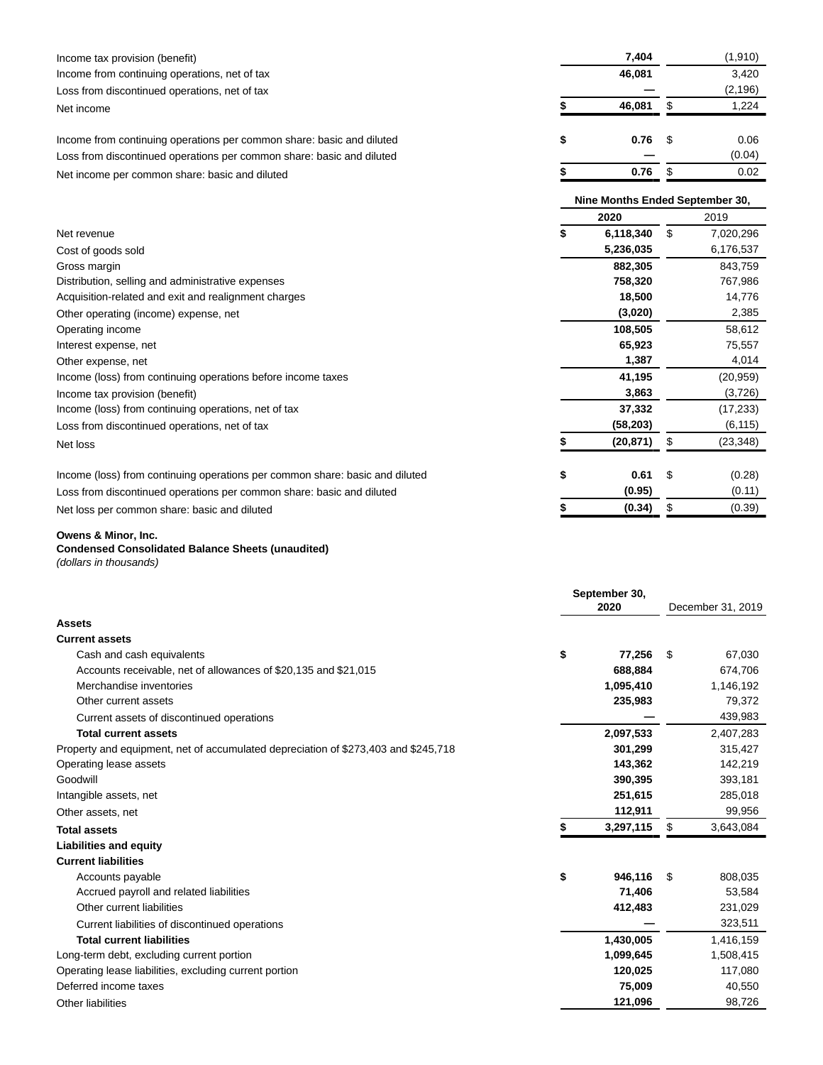| Income tax provision (benefit)                                                  | 7,404                           |    | (1, 910)  |
|---------------------------------------------------------------------------------|---------------------------------|----|-----------|
| Income from continuing operations, net of tax                                   | 46,081                          |    | 3,420     |
| Loss from discontinued operations, net of tax                                   |                                 |    | (2, 196)  |
| Net income                                                                      | 46,081                          | \$ | 1,224     |
| Income from continuing operations per common share: basic and diluted           | \$<br>0.76                      | S  | 0.06      |
| Loss from discontinued operations per common share: basic and diluted           |                                 |    | (0.04)    |
| Net income per common share: basic and diluted                                  | 0.76                            | \$ | 0.02      |
|                                                                                 | Nine Months Ended September 30, |    |           |
|                                                                                 | 2020                            |    | 2019      |
| Net revenue                                                                     | \$<br>6,118,340                 | \$ | 7,020,296 |
| Cost of goods sold                                                              | 5,236,035                       |    | 6,176,537 |
| Gross margin                                                                    | 882,305                         |    | 843,759   |
| Distribution, selling and administrative expenses                               | 758,320                         |    | 767,986   |
| Acquisition-related and exit and realignment charges                            | 18,500                          |    | 14,776    |
| Other operating (income) expense, net                                           | (3,020)                         |    | 2,385     |
| Operating income                                                                | 108,505                         |    | 58,612    |
| Interest expense, net                                                           | 65,923                          |    | 75,557    |
| Other expense, net                                                              | 1,387                           |    | 4,014     |
| Income (loss) from continuing operations before income taxes                    | 41,195                          |    | (20, 959) |
| Income tax provision (benefit)                                                  | 3,863                           |    | (3,726)   |
| Income (loss) from continuing operations, net of tax                            | 37,332                          |    | (17, 233) |
| Loss from discontinued operations, net of tax                                   | (58, 203)                       |    | (6, 115)  |
| Net loss                                                                        | \$<br>(20, 871)                 | \$ | (23, 348) |
| Income (loss) from continuing operations per common share: basic and diluted    | \$<br>0.61                      | \$ | (0.28)    |
| Loss from discontinued operations per common share: basic and diluted           | (0.95)                          |    | (0.11)    |
| Net loss per common share: basic and diluted                                    | (0.34)                          | \$ | (0.39)    |
| Owens & Minor, Inc.<br><b>Condensed Consolidated Balance Sheets (unaudited)</b> |                                 |    |           |

(dollars in thousands)

|                                                                                    | September 30, |           |    |                   |  |  |
|------------------------------------------------------------------------------------|---------------|-----------|----|-------------------|--|--|
|                                                                                    | 2020          |           |    | December 31, 2019 |  |  |
| <b>Assets</b>                                                                      |               |           |    |                   |  |  |
| <b>Current assets</b>                                                              |               |           |    |                   |  |  |
| Cash and cash equivalents                                                          | \$            | 77,256    | \$ | 67,030            |  |  |
| Accounts receivable, net of allowances of \$20,135 and \$21,015                    |               | 688,884   |    | 674,706           |  |  |
| Merchandise inventories                                                            |               | 1,095,410 |    | 1,146,192         |  |  |
| Other current assets                                                               |               | 235,983   |    | 79,372            |  |  |
| Current assets of discontinued operations                                          |               |           |    | 439,983           |  |  |
| <b>Total current assets</b>                                                        |               | 2,097,533 |    | 2,407,283         |  |  |
| Property and equipment, net of accumulated depreciation of \$273,403 and \$245,718 |               | 301,299   |    | 315,427           |  |  |
| Operating lease assets                                                             |               | 143,362   |    | 142,219           |  |  |
| Goodwill                                                                           |               | 390,395   |    | 393,181           |  |  |
| Intangible assets, net                                                             |               | 251,615   |    | 285,018           |  |  |
| Other assets, net                                                                  |               | 112,911   |    | 99,956            |  |  |
| <b>Total assets</b>                                                                |               | 3,297,115 | \$ | 3,643,084         |  |  |
| <b>Liabilities and equity</b>                                                      |               |           |    |                   |  |  |
| <b>Current liabilities</b>                                                         |               |           |    |                   |  |  |
| Accounts payable                                                                   | \$            | 946,116   | \$ | 808,035           |  |  |
| Accrued payroll and related liabilities                                            |               | 71,406    |    | 53,584            |  |  |
| Other current liabilities                                                          |               | 412,483   |    | 231,029           |  |  |
| Current liabilities of discontinued operations                                     |               |           |    | 323,511           |  |  |
| <b>Total current liabilities</b>                                                   |               | 1,430,005 |    | 1,416,159         |  |  |
| Long-term debt, excluding current portion                                          |               | 1,099,645 |    | 1,508,415         |  |  |
| Operating lease liabilities, excluding current portion                             |               | 120,025   |    | 117,080           |  |  |
| Deferred income taxes                                                              |               | 75,009    |    | 40,550            |  |  |
| Other liabilities                                                                  |               | 121,096   |    | 98,726            |  |  |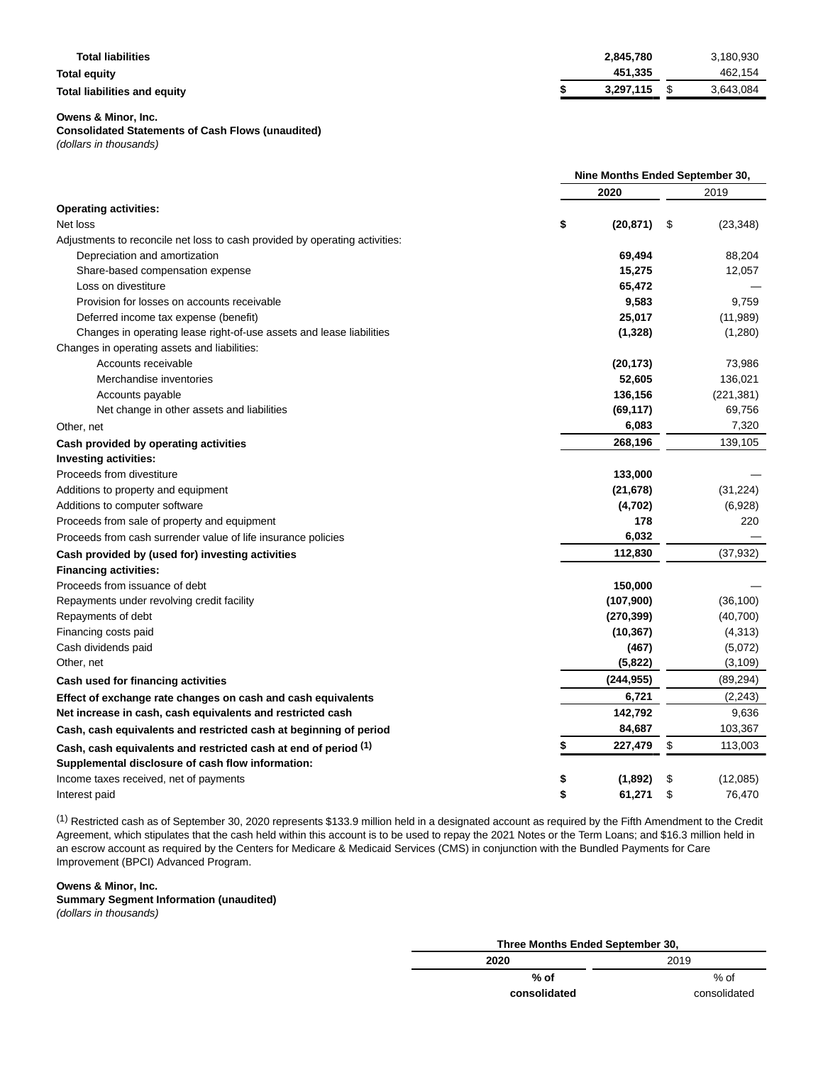| <b>Total liabilities</b>     | 2,845,780 | 3,180,930 |
|------------------------------|-----------|-----------|
| Total equity                 | 451,335   | 462,154   |
| Total liabilities and equity | 3.297.115 | 3,643,084 |

**Owens & Minor, Inc.**

## **Consolidated Statements of Cash Flows (unaudited)**

(dollars in thousands)

|                                                                             | Nine Months Ended September 30, |    |            |  |  |
|-----------------------------------------------------------------------------|---------------------------------|----|------------|--|--|
|                                                                             | 2020                            |    | 2019       |  |  |
| <b>Operating activities:</b>                                                |                                 |    |            |  |  |
| Net loss                                                                    | \$<br>(20, 871)                 | \$ | (23, 348)  |  |  |
| Adjustments to reconcile net loss to cash provided by operating activities: |                                 |    |            |  |  |
| Depreciation and amortization                                               | 69,494                          |    | 88,204     |  |  |
| Share-based compensation expense                                            | 15,275                          |    | 12,057     |  |  |
| Loss on divestiture                                                         | 65,472                          |    |            |  |  |
| Provision for losses on accounts receivable                                 | 9,583                           |    | 9,759      |  |  |
| Deferred income tax expense (benefit)                                       | 25,017                          |    | (11,989)   |  |  |
| Changes in operating lease right-of-use assets and lease liabilities        | (1, 328)                        |    | (1,280)    |  |  |
| Changes in operating assets and liabilities:                                |                                 |    |            |  |  |
| Accounts receivable                                                         | (20, 173)                       |    | 73,986     |  |  |
| Merchandise inventories                                                     | 52,605                          |    | 136,021    |  |  |
| Accounts payable                                                            | 136,156                         |    | (221, 381) |  |  |
| Net change in other assets and liabilities                                  | (69, 117)                       |    | 69,756     |  |  |
| Other, net                                                                  | 6,083                           |    | 7,320      |  |  |
| Cash provided by operating activities                                       | 268,196                         |    | 139,105    |  |  |
| <b>Investing activities:</b>                                                |                                 |    |            |  |  |
| Proceeds from divestiture                                                   | 133,000                         |    |            |  |  |
| Additions to property and equipment                                         | (21, 678)                       |    | (31, 224)  |  |  |
| Additions to computer software                                              | (4,702)                         |    | (6,928)    |  |  |
| Proceeds from sale of property and equipment                                | 178                             |    | 220        |  |  |
| Proceeds from cash surrender value of life insurance policies               | 6,032                           |    |            |  |  |
| Cash provided by (used for) investing activities                            | 112,830                         |    | (37, 932)  |  |  |
| <b>Financing activities:</b>                                                |                                 |    |            |  |  |
| Proceeds from issuance of debt                                              | 150,000                         |    |            |  |  |
| Repayments under revolving credit facility                                  | (107,900)                       |    | (36, 100)  |  |  |
| Repayments of debt                                                          | (270, 399)                      |    | (40, 700)  |  |  |
| Financing costs paid                                                        | (10, 367)                       |    | (4, 313)   |  |  |
| Cash dividends paid                                                         | (467)                           |    | (5,072)    |  |  |
| Other, net                                                                  | (5,822)                         |    | (3, 109)   |  |  |
| Cash used for financing activities                                          | (244, 955)                      |    | (89, 294)  |  |  |
| Effect of exchange rate changes on cash and cash equivalents                | 6,721                           |    | (2, 243)   |  |  |
| Net increase in cash, cash equivalents and restricted cash                  | 142,792                         |    | 9,636      |  |  |
| Cash, cash equivalents and restricted cash at beginning of period           | 84,687                          |    | 103,367    |  |  |
| Cash, cash equivalents and restricted cash at end of period (1)             | 227,479                         | \$ | 113,003    |  |  |
| Supplemental disclosure of cash flow information:                           |                                 |    |            |  |  |
| Income taxes received, net of payments                                      | (1,892)                         | \$ | (12,085)   |  |  |
| Interest paid                                                               | \$<br>61,271                    | \$ | 76,470     |  |  |

(1) Restricted cash as of September 30, 2020 represents \$133.9 million held in a designated account as required by the Fifth Amendment to the Credit Agreement, which stipulates that the cash held within this account is to be used to repay the 2021 Notes or the Term Loans; and \$16.3 million held in an escrow account as required by the Centers for Medicare & Medicaid Services (CMS) in conjunction with the Bundled Payments for Care Improvement (BPCI) Advanced Program.

# **Owens & Minor, Inc.**

**Summary Segment Information (unaudited)** (dollars in thousands)

| Three Months Ended September 30, |              |  |  |  |  |  |  |  |  |
|----------------------------------|--------------|--|--|--|--|--|--|--|--|
| 2020                             | 2019         |  |  |  |  |  |  |  |  |
| % of                             | % of         |  |  |  |  |  |  |  |  |
| consolidated                     | consolidated |  |  |  |  |  |  |  |  |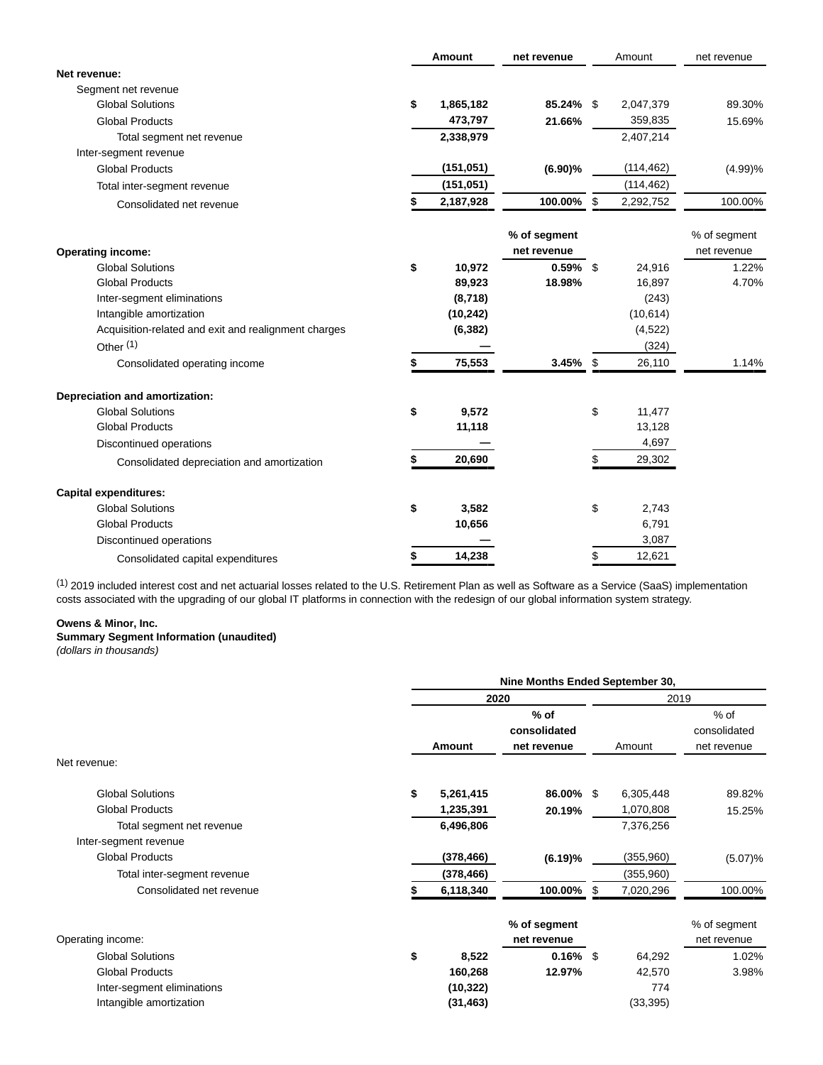|                                                      | Amount          | net revenue  | Amount          | net revenue  |
|------------------------------------------------------|-----------------|--------------|-----------------|--------------|
| Net revenue:                                         |                 |              |                 |              |
| Segment net revenue                                  |                 |              |                 |              |
| <b>Global Solutions</b>                              | \$<br>1,865,182 | 85.24% \$    | 2,047,379       | 89.30%       |
| <b>Global Products</b>                               | 473,797         | 21.66%       | 359,835         | 15.69%       |
| Total segment net revenue                            | 2,338,979       |              | 2,407,214       |              |
| Inter-segment revenue                                |                 |              |                 |              |
| <b>Global Products</b>                               | (151, 051)      | (6.90)%      | (114, 462)      | (4.99)%      |
| Total inter-segment revenue                          | (151, 051)      |              | (114, 462)      |              |
| Consolidated net revenue                             | 2,187,928       | 100.00%      | \$<br>2,292,752 | 100.00%      |
|                                                      |                 | % of segment |                 | % of segment |
| <b>Operating income:</b>                             |                 | net revenue  |                 | net revenue  |
| <b>Global Solutions</b>                              | \$<br>10,972    | $0.59\%$ \$  | 24,916          | 1.22%        |
| <b>Global Products</b>                               | 89,923          | 18.98%       | 16,897          | 4.70%        |
| Inter-segment eliminations                           | (8,718)         |              | (243)           |              |
| Intangible amortization                              | (10, 242)       |              | (10, 614)       |              |
| Acquisition-related and exit and realignment charges | (6, 382)        |              | (4, 522)        |              |
| Other <sup>(1)</sup>                                 |                 |              | (324)           |              |
| Consolidated operating income                        | 75,553          | 3.45%        | \$<br>26,110    | 1.14%        |
| Depreciation and amortization:                       |                 |              |                 |              |
| <b>Global Solutions</b>                              | \$<br>9,572     |              | \$<br>11,477    |              |
| <b>Global Products</b>                               | 11,118          |              | 13,128          |              |
| Discontinued operations                              |                 |              | 4,697           |              |
| Consolidated depreciation and amortization           | 20,690          |              | 29,302          |              |
| <b>Capital expenditures:</b>                         |                 |              |                 |              |
| <b>Global Solutions</b>                              | \$<br>3,582     |              | \$<br>2,743     |              |
| <b>Global Products</b>                               | 10,656          |              | 6,791           |              |
| Discontinued operations                              |                 |              | 3,087           |              |
| Consolidated capital expenditures                    | \$<br>14,238    |              | \$<br>12,621    |              |

 $^{(1)}$  2019 included interest cost and net actuarial losses related to the U.S. Retirement Plan as well as Software as a Service (SaaS) implementation costs associated with the upgrading of our global IT platforms in connection with the redesign of our global information system strategy.

# **Owens & Minor, Inc.**

# **Summary Segment Information (unaudited)**

(dollars in thousands)

|                             | Nine Months Ended September 30, |           |                                       |    |           |                                       |  |  |  |
|-----------------------------|---------------------------------|-----------|---------------------------------------|----|-----------|---------------------------------------|--|--|--|
|                             |                                 | 2020      |                                       |    |           | 2019                                  |  |  |  |
|                             |                                 | Amount    | $%$ of<br>consolidated<br>net revenue |    | Amount    | $%$ of<br>consolidated<br>net revenue |  |  |  |
| Net revenue:                |                                 |           |                                       |    |           |                                       |  |  |  |
| <b>Global Solutions</b>     | \$                              | 5,261,415 | 86.00% \$                             |    | 6,305,448 | 89.82%                                |  |  |  |
| <b>Global Products</b>      |                                 | 1,235,391 | 20.19%                                |    | 1,070,808 | 15.25%                                |  |  |  |
| Total segment net revenue   |                                 | 6,496,806 |                                       |    | 7,376,256 |                                       |  |  |  |
| Inter-segment revenue       |                                 |           |                                       |    |           |                                       |  |  |  |
| <b>Global Products</b>      |                                 | (378,466) | (6.19)%                               |    | (355,960) | (5.07)%                               |  |  |  |
| Total inter-segment revenue |                                 | (378,466) |                                       |    | (355,960) |                                       |  |  |  |
| Consolidated net revenue    |                                 | 6,118,340 | 100.00%                               | \$ | 7,020,296 | 100.00%                               |  |  |  |
| Operating income:           |                                 |           | % of segment<br>net revenue           |    |           | % of segment<br>net revenue           |  |  |  |
| <b>Global Solutions</b>     | \$                              | 8,522     | $0.16\%$ \$                           |    | 64,292    | 1.02%                                 |  |  |  |
| <b>Global Products</b>      |                                 | 160,268   | 12.97%                                |    | 42,570    | 3.98%                                 |  |  |  |
| Inter-segment eliminations  |                                 | (10, 322) |                                       |    | 774       |                                       |  |  |  |
| Intangible amortization     |                                 | (31, 463) |                                       |    | (33,395)  |                                       |  |  |  |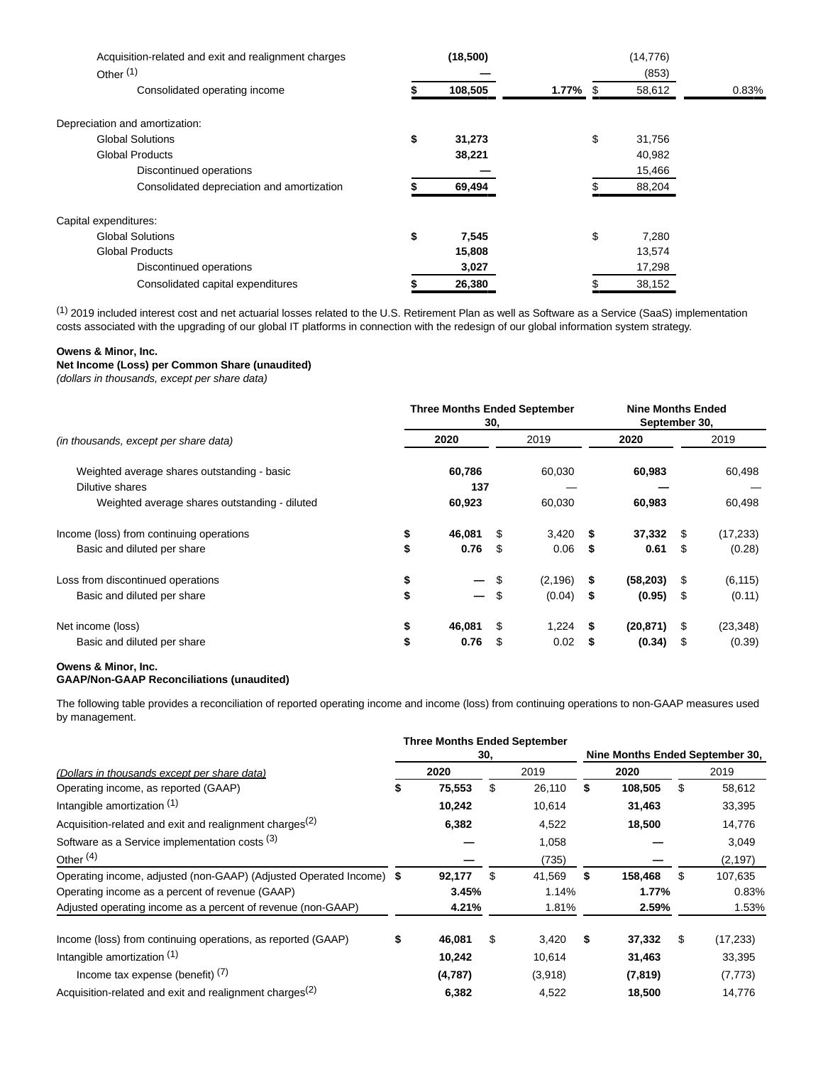| Acquisition-related and exit and realignment charges<br>Other $(1)$ | (18,500)     |             | (14, 776)<br>(853) |       |
|---------------------------------------------------------------------|--------------|-------------|--------------------|-------|
| Consolidated operating income                                       | 108,505      | $1.77\%$ \$ | 58,612             | 0.83% |
| Depreciation and amortization:                                      |              |             |                    |       |
| <b>Global Solutions</b>                                             | \$<br>31,273 |             | \$<br>31,756       |       |
| <b>Global Products</b>                                              | 38,221       |             | 40,982             |       |
| Discontinued operations                                             |              |             | 15,466             |       |
| Consolidated depreciation and amortization                          | 69,494       |             | 88,204             |       |
| Capital expenditures:                                               |              |             |                    |       |
| <b>Global Solutions</b>                                             | \$<br>7,545  |             | \$<br>7,280        |       |
| <b>Global Products</b>                                              | 15,808       |             | 13,574             |       |
| Discontinued operations                                             | 3,027        |             | 17,298             |       |
| Consolidated capital expenditures                                   | 26,380       |             | 38,152             |       |

(1) 2019 included interest cost and net actuarial losses related to the U.S. Retirement Plan as well as Software as a Service (SaaS) implementation costs associated with the upgrading of our global IT platforms in connection with the redesign of our global information system strategy.

### **Owens & Minor, Inc.**

# **Net Income (Loss) per Common Share (unaudited)**

(dollars in thousands, except per share data)

|                                               | <b>Three Months Ended September</b><br>30. |        |    |          |     | <b>Nine Months Ended</b><br>September 30, |      |           |
|-----------------------------------------------|--------------------------------------------|--------|----|----------|-----|-------------------------------------------|------|-----------|
| (in thousands, except per share data)         |                                            | 2020   |    | 2019     |     | 2020                                      |      | 2019      |
| Weighted average shares outstanding - basic   |                                            | 60,786 |    | 60,030   |     | 60,983                                    |      | 60,498    |
| Dilutive shares                               |                                            | 137    |    |          |     |                                           |      |           |
| Weighted average shares outstanding - diluted |                                            | 60,923 |    | 60,030   |     | 60,983                                    |      | 60,498    |
| Income (loss) from continuing operations      | \$                                         | 46.081 | \$ | 3,420    | S.  | 37,332                                    | S    | (17, 233) |
| Basic and diluted per share                   | \$                                         | 0.76   | \$ | 0.06     | - 5 | 0.61                                      | \$   | (0.28)    |
| Loss from discontinued operations             | \$                                         |        | \$ | (2, 196) | \$  | (58, 203)                                 | \$   | (6, 115)  |
| Basic and diluted per share                   | \$                                         | — \$   |    | (0.04)   | \$  | (0.95)                                    | \$   | (0.11)    |
| Net income (loss)                             | \$                                         | 46,081 |    | 1,224    | £.  | (20,871)                                  | \$   | (23, 348) |
| Basic and diluted per share                   |                                            | 0.76   | S  | 0.02     |     | (0.34)                                    | - \$ | (0.39)    |

## **Owens & Minor, Inc. GAAP/Non-GAAP Reconciliations (unaudited)**

The following table provides a reconciliation of reported operating income and income (loss) from continuing operations to non-GAAP measures used by management.

|                                                                     |    | <b>Three Months Ended September</b> |      |         |      |                                 |      |           |
|---------------------------------------------------------------------|----|-------------------------------------|------|---------|------|---------------------------------|------|-----------|
|                                                                     |    |                                     | 30.  |         |      | Nine Months Ended September 30, |      |           |
| (Dollars in thousands except per share data)                        |    | 2020                                | 2019 |         | 2020 |                                 | 2019 |           |
| Operating income, as reported (GAAP)                                | æ. | 75,553                              | \$   | 26,110  | \$   | 108,505                         | \$   | 58,612    |
| Intangible amortization (1)                                         |    | 10,242                              |      | 10,614  |      | 31,463                          |      | 33,395    |
| Acquisition-related and exit and realignment charges <sup>(2)</sup> |    | 6,382                               |      | 4,522   |      | 18,500                          |      | 14,776    |
| Software as a Service implementation costs (3)                      |    |                                     |      | 1,058   |      |                                 |      | 3,049     |
| Other $(4)$                                                         |    |                                     |      | (735)   |      |                                 |      | (2, 197)  |
| Operating income, adjusted (non-GAAP) (Adjusted Operated Income) \$ |    | 92,177                              | \$   | 41,569  | \$   | 158.468                         | \$.  | 107,635   |
| Operating income as a percent of revenue (GAAP)                     |    | 3.45%                               |      | 1.14%   |      | 1.77%                           |      | 0.83%     |
| Adjusted operating income as a percent of revenue (non-GAAP)        |    | 4.21%                               |      | 1.81%   |      | 2.59%                           |      | 1.53%     |
| Income (loss) from continuing operations, as reported (GAAP)        | \$ | 46,081                              | \$   | 3,420   | \$   | 37,332                          | \$   | (17, 233) |
| Intangible amortization (1)                                         |    | 10,242                              |      | 10,614  |      | 31,463                          |      | 33,395    |
| Income tax expense (benefit) $(7)$                                  |    | (4,787)                             |      | (3,918) |      | (7, 819)                        |      | (7, 773)  |
| Acquisition-related and exit and realignment charges <sup>(2)</sup> |    | 6,382                               |      | 4,522   |      | 18,500                          |      | 14,776    |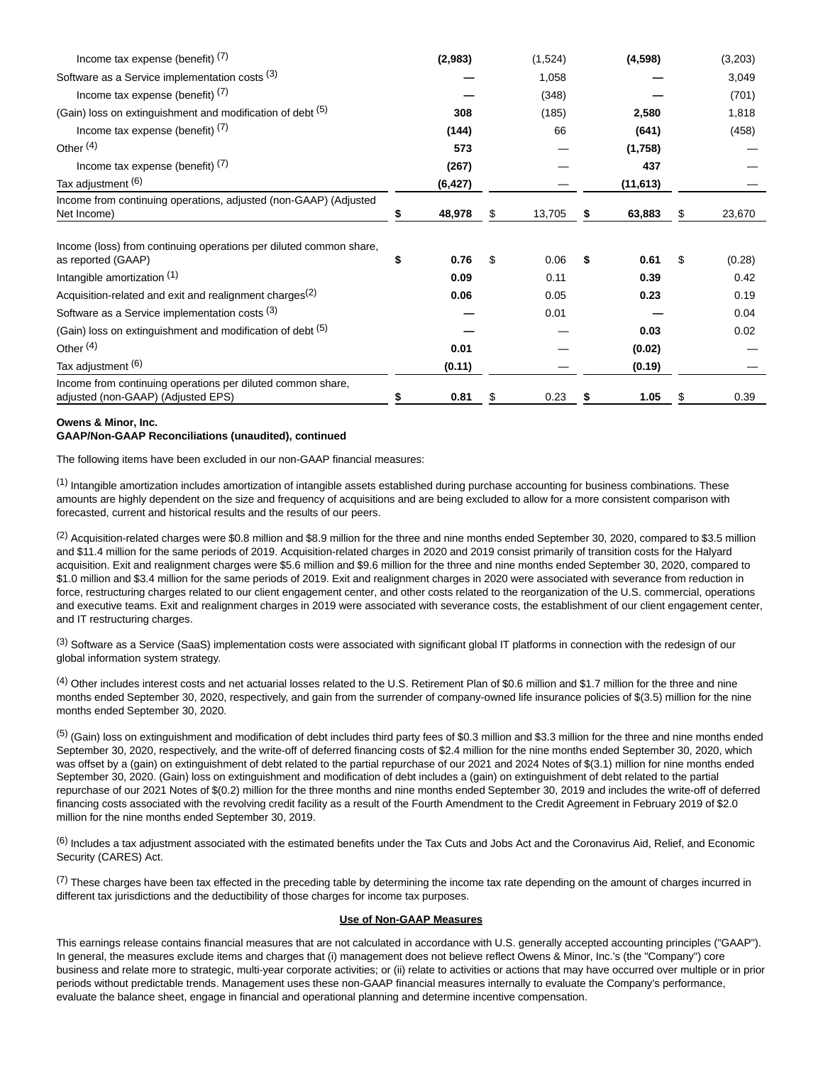| Income tax expense (benefit) $(7)$                                                                |   | (2,983)  | (1,524)      | (4, 598)     | (3,203)      |
|---------------------------------------------------------------------------------------------------|---|----------|--------------|--------------|--------------|
| Software as a Service implementation costs (3)                                                    |   |          | 1,058        |              | 3,049        |
| Income tax expense (benefit) $(7)$                                                                |   |          | (348)        |              | (701)        |
| (Gain) loss on extinguishment and modification of debt (5)                                        |   | 308      | (185)        | 2,580        | 1,818        |
| Income tax expense (benefit) $(7)$                                                                |   | (144)    | 66           | (641)        | (458)        |
| Other <sup>(4)</sup>                                                                              |   | 573      |              | (1,758)      |              |
| Income tax expense (benefit) $(7)$                                                                |   | (267)    |              | 437          |              |
| Tax adjustment (6)                                                                                |   | (6, 427) |              | (11, 613)    |              |
| Income from continuing operations, adjusted (non-GAAP) (Adjusted<br>Net Income)                   |   | 48,978   | \$<br>13,705 | \$<br>63,883 | \$<br>23,670 |
| Income (loss) from continuing operations per diluted common share,<br>as reported (GAAP)          | S | 0.76     | \$<br>0.06   | \$<br>0.61   | \$<br>(0.28) |
| Intangible amortization (1)                                                                       |   | 0.09     | 0.11         | 0.39         | 0.42         |
| Acquisition-related and exit and realignment charges <sup>(2)</sup>                               |   | 0.06     | 0.05         | 0.23         | 0.19         |
| Software as a Service implementation costs (3)                                                    |   |          | 0.01         |              | 0.04         |
| (Gain) loss on extinguishment and modification of debt (5)                                        |   |          |              | 0.03         | 0.02         |
| Other $(4)$                                                                                       |   | 0.01     |              | (0.02)       |              |
| Tax adjustment (6)                                                                                |   | (0.11)   |              | (0.19)       |              |
| Income from continuing operations per diluted common share,<br>adjusted (non-GAAP) (Adjusted EPS) |   | 0.81     | \$<br>0.23   | \$<br>1.05   | \$<br>0.39   |

## **Owens & Minor, Inc. GAAP/Non-GAAP Reconciliations (unaudited), continued**

The following items have been excluded in our non-GAAP financial measures:

 $<sup>(1)</sup>$  Intangible amortization includes amortization of intangible assets established during purchase accounting for business combinations. These</sup> amounts are highly dependent on the size and frequency of acquisitions and are being excluded to allow for a more consistent comparison with forecasted, current and historical results and the results of our peers.

 $^{(2)}$  Acquisition-related charges were \$0.8 million and \$8.9 million for the three and nine months ended September 30, 2020, compared to \$3.5 million and \$11.4 million for the same periods of 2019. Acquisition-related charges in 2020 and 2019 consist primarily of transition costs for the Halyard acquisition. Exit and realignment charges were \$5.6 million and \$9.6 million for the three and nine months ended September 30, 2020, compared to \$1.0 million and \$3.4 million for the same periods of 2019. Exit and realignment charges in 2020 were associated with severance from reduction in force, restructuring charges related to our client engagement center, and other costs related to the reorganization of the U.S. commercial, operations and executive teams. Exit and realignment charges in 2019 were associated with severance costs, the establishment of our client engagement center, and IT restructuring charges.

(3) Software as a Service (SaaS) implementation costs were associated with significant global IT platforms in connection with the redesign of our global information system strategy.

(4) Other includes interest costs and net actuarial losses related to the U.S. Retirement Plan of \$0.6 million and \$1.7 million for the three and nine months ended September 30, 2020, respectively, and gain from the surrender of company-owned life insurance policies of \$(3.5) million for the nine months ended September 30, 2020.

 $<sup>(5)</sup>$  (Gain) loss on extinguishment and modification of debt includes third party fees of \$0.3 million and \$3.3 million for the three and nine months ended</sup> September 30, 2020, respectively, and the write-off of deferred financing costs of \$2.4 million for the nine months ended September 30, 2020, which was offset by a (gain) on extinguishment of debt related to the partial repurchase of our 2021 and 2024 Notes of \$(3.1) million for nine months ended September 30, 2020. (Gain) loss on extinguishment and modification of debt includes a (gain) on extinguishment of debt related to the partial repurchase of our 2021 Notes of \$(0.2) million for the three months and nine months ended September 30, 2019 and includes the write-off of deferred financing costs associated with the revolving credit facility as a result of the Fourth Amendment to the Credit Agreement in February 2019 of \$2.0 million for the nine months ended September 30, 2019.

 $(6)$  Includes a tax adjustment associated with the estimated benefits under the Tax Cuts and Jobs Act and the Coronavirus Aid, Relief, and Economic Security (CARES) Act.

 $(7)$  These charges have been tax effected in the preceding table by determining the income tax rate depending on the amount of charges incurred in different tax jurisdictions and the deductibility of those charges for income tax purposes.

## **Use of Non-GAAP Measures**

This earnings release contains financial measures that are not calculated in accordance with U.S. generally accepted accounting principles ("GAAP"). In general, the measures exclude items and charges that (i) management does not believe reflect Owens & Minor, Inc.'s (the "Company") core business and relate more to strategic, multi-year corporate activities; or (ii) relate to activities or actions that may have occurred over multiple or in prior periods without predictable trends. Management uses these non-GAAP financial measures internally to evaluate the Company's performance, evaluate the balance sheet, engage in financial and operational planning and determine incentive compensation.